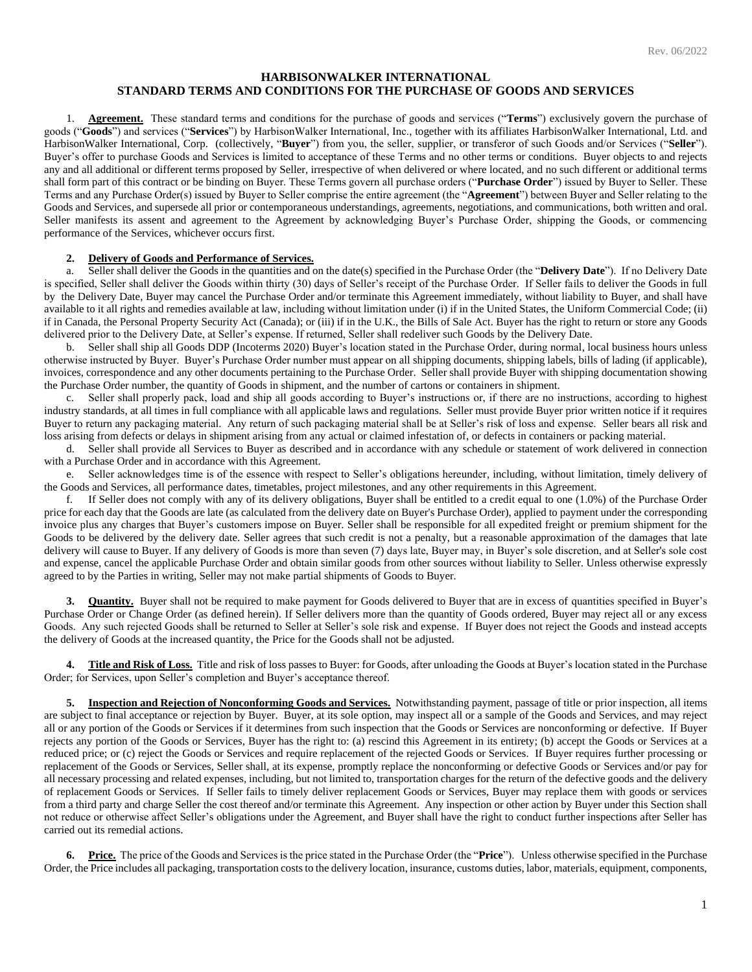# **HARBISONWALKER INTERNATIONAL STANDARD TERMS AND CONDITIONS FOR THE PURCHASE OF GOODS AND SERVICES**

1. **Agreement.** These standard terms and conditions for the purchase of goods and services ("**Terms**") exclusively govern the purchase of goods ("**Goods**") and services ("**Services**") by HarbisonWalker International, Inc., together with its affiliates HarbisonWalker International, Ltd. and HarbisonWalker International, Corp. (collectively, "**Buyer**") from you, the seller, supplier, or transferor of such Goods and/or Services ("**Seller**"). Buyer's offer to purchase Goods and Services is limited to acceptance of these Terms and no other terms or conditions. Buyer objects to and rejects any and all additional or different terms proposed by Seller, irrespective of when delivered or where located, and no such different or additional terms shall form part of this contract or be binding on Buyer. These Terms govern all purchase orders ("**Purchase Order**") issued by Buyer to Seller. These Terms and any Purchase Order(s) issued by Buyer to Seller comprise the entire agreement (the "**Agreement**") between Buyer and Seller relating to the Goods and Services, and supersede all prior or contemporaneous understandings, agreements, negotiations, and communications, both written and oral. Seller manifests its assent and agreement to the Agreement by acknowledging Buyer's Purchase Order, shipping the Goods, or commencing performance of the Services, whichever occurs first.

#### **2. Delivery of Goods and Performance of Services.**

a. Seller shall deliver the Goods in the quantities and on the date(s) specified in the Purchase Order (the "**Delivery Date**"). If no Delivery Date is specified, Seller shall deliver the Goods within thirty (30) days of Seller's receipt of the Purchase Order. If Seller fails to deliver the Goods in full by the Delivery Date, Buyer may cancel the Purchase Order and/or terminate this Agreement immediately, without liability to Buyer, and shall have available to it all rights and remedies available at law, including without limitation under (i) if in the United States, the Uniform Commercial Code; (ii) if in Canada, the Personal Property Security Act (Canada); or (iii) if in the U.K., the Bills of Sale Act. Buyer has the right to return or store any Goods delivered prior to the Delivery Date, at Seller's expense. If returned, Seller shall redeliver such Goods by the Delivery Date.

b. Seller shall ship all Goods DDP (Incoterms 2020) Buyer's location stated in the Purchase Order, during normal, local business hours unless otherwise instructed by Buyer. Buyer's Purchase Order number must appear on all shipping documents, shipping labels, bills of lading (if applicable), invoices, correspondence and any other documents pertaining to the Purchase Order. Seller shall provide Buyer with shipping documentation showing the Purchase Order number, the quantity of Goods in shipment, and the number of cartons or containers in shipment.

c. Seller shall properly pack, load and ship all goods according to Buyer's instructions or, if there are no instructions, according to highest industry standards, at all times in full compliance with all applicable laws and regulations. Seller must provide Buyer prior written notice if it requires Buyer to return any packaging material. Any return of such packaging material shall be at Seller's risk of loss and expense. Seller bears all risk and loss arising from defects or delays in shipment arising from any actual or claimed infestation of, or defects in containers or packing material.

d. Seller shall provide all Services to Buyer as described and in accordance with any schedule or statement of work delivered in connection with a Purchase Order and in accordance with this Agreement.

e. Seller acknowledges time is of the essence with respect to Seller's obligations hereunder, including, without limitation, timely delivery of the Goods and Services, all performance dates, timetables, project milestones, and any other requirements in this Agreement.

f. If Seller does not comply with any of its delivery obligations, Buyer shall be entitled to a credit equal to one (1.0%) of the Purchase Order price for each day that the Goods are late (as calculated from the delivery date on Buyer's Purchase Order), applied to payment under the corresponding invoice plus any charges that Buyer's customers impose on Buyer. Seller shall be responsible for all expedited freight or premium shipment for the Goods to be delivered by the delivery date. Seller agrees that such credit is not a penalty, but a reasonable approximation of the damages that late delivery will cause to Buyer. If any delivery of Goods is more than seven (7) days late, Buyer may, in Buyer's sole discretion, and at Seller's sole cost and expense, cancel the applicable Purchase Order and obtain similar goods from other sources without liability to Seller. Unless otherwise expressly agreed to by the Parties in writing, Seller may not make partial shipments of Goods to Buyer.

**3. Quantity.** Buyer shall not be required to make payment for Goods delivered to Buyer that are in excess of quantities specified in Buyer's Purchase Order or Change Order (as defined herein). If Seller delivers more than the quantity of Goods ordered, Buyer may reject all or any excess Goods. Any such rejected Goods shall be returned to Seller at Seller's sole risk and expense. If Buyer does not reject the Goods and instead accepts the delivery of Goods at the increased quantity, the Price for the Goods shall not be adjusted.

**4. Title and Risk of Loss.** Title and risk of loss passes to Buyer: for Goods, after unloading the Goods at Buyer's location stated in the Purchase Order; for Services, upon Seller's completion and Buyer's acceptance thereof.

**5. Inspection and Rejection of Nonconforming Goods and Services.** Notwithstanding payment, passage of title or prior inspection, all items are subject to final acceptance or rejection by Buyer. Buyer, at its sole option, may inspect all or a sample of the Goods and Services, and may reject all or any portion of the Goods or Services if it determines from such inspection that the Goods or Services are nonconforming or defective. If Buyer rejects any portion of the Goods or Services, Buyer has the right to: (a) rescind this Agreement in its entirety; (b) accept the Goods or Services at a reduced price; or (c) reject the Goods or Services and require replacement of the rejected Goods or Services. If Buyer requires further processing or replacement of the Goods or Services, Seller shall, at its expense, promptly replace the nonconforming or defective Goods or Services and/or pay for all necessary processing and related expenses, including, but not limited to, transportation charges for the return of the defective goods and the delivery of replacement Goods or Services. If Seller fails to timely deliver replacement Goods or Services, Buyer may replace them with goods or services from a third party and charge Seller the cost thereof and/or terminate this Agreement. Any inspection or other action by Buyer under this Section shall not reduce or otherwise affect Seller's obligations under the Agreement, and Buyer shall have the right to conduct further inspections after Seller has carried out its remedial actions.

**6. Price.** The price of the Goods and Services is the price stated in the Purchase Order (the "**Price**"). Unless otherwise specified in the Purchase Order, the Price includes all packaging, transportation costs to the delivery location, insurance, customs duties, labor, materials, equipment, components,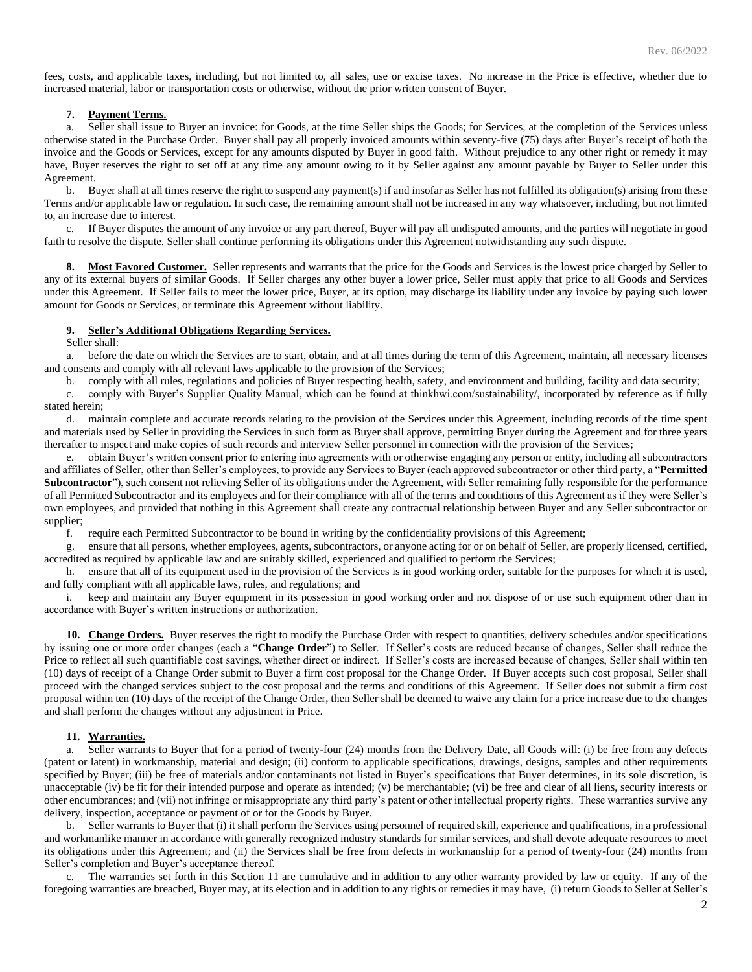fees, costs, and applicable taxes, including, but not limited to, all sales, use or excise taxes. No increase in the Price is effective, whether due to increased material, labor or transportation costs or otherwise, without the prior written consent of Buyer.

## **7. Payment Terms.**

a. Seller shall issue to Buyer an invoice: for Goods, at the time Seller ships the Goods; for Services, at the completion of the Services unless otherwise stated in the Purchase Order. Buyer shall pay all properly invoiced amounts within seventy-five (75) days after Buyer's receipt of both the invoice and the Goods or Services, except for any amounts disputed by Buyer in good faith. Without prejudice to any other right or remedy it may have, Buyer reserves the right to set off at any time any amount owing to it by Seller against any amount payable by Buyer to Seller under this Agreement.

b. Buyer shall at all times reserve the right to suspend any payment(s) if and insofar as Seller has not fulfilled its obligation(s) arising from these Terms and/or applicable law or regulation. In such case, the remaining amount shall not be increased in any way whatsoever, including, but not limited to, an increase due to interest.

c. If Buyer disputes the amount of any invoice or any part thereof, Buyer will pay all undisputed amounts, and the parties will negotiate in good faith to resolve the dispute. Seller shall continue performing its obligations under this Agreement notwithstanding any such dispute.

8. Most Favored Customer. Seller represents and warrants that the price for the Goods and Services is the lowest price charged by Seller to any of its external buyers of similar Goods. If Seller charges any other buyer a lower price, Seller must apply that price to all Goods and Services under this Agreement. If Seller fails to meet the lower price, Buyer, at its option, may discharge its liability under any invoice by paying such lower amount for Goods or Services, or terminate this Agreement without liability.

#### **9. Seller's Additional Obligations Regarding Services.**

Seller shall:

a. before the date on which the Services are to start, obtain, and at all times during the term of this Agreement, maintain, all necessary licenses and consents and comply with all relevant laws applicable to the provision of the Services;

b. comply with all rules, regulations and policies of Buyer respecting health, safety, and environment and building, facility and data security;

c. comply with Buyer's Supplier Quality Manual, which can be found at thinkhwi.com/sustainability/, incorporated by reference as if fully stated herein;

d. maintain complete and accurate records relating to the provision of the Services under this Agreement, including records of the time spent and materials used by Seller in providing the Services in such form as Buyer shall approve, permitting Buyer during the Agreement and for three years thereafter to inspect and make copies of such records and interview Seller personnel in connection with the provision of the Services;

e. obtain Buyer's written consent prior to entering into agreements with or otherwise engaging any person or entity, including all subcontractors and affiliates of Seller, other than Seller's employees, to provide any Services to Buyer (each approved subcontractor or other third party, a "**Permitted Subcontractor**"), such consent not relieving Seller of its obligations under the Agreement, with Seller remaining fully responsible for the performance of all Permitted Subcontractor and its employees and for their compliance with all of the terms and conditions of this Agreement as if they were Seller's own employees, and provided that nothing in this Agreement shall create any contractual relationship between Buyer and any Seller subcontractor or supplier;

f. require each Permitted Subcontractor to be bound in writing by the confidentiality provisions of this Agreement;

g. ensure that all persons, whether employees, agents, subcontractors, or anyone acting for or on behalf of Seller, are properly licensed, certified, accredited as required by applicable law and are suitably skilled, experienced and qualified to perform the Services;

h. ensure that all of its equipment used in the provision of the Services is in good working order, suitable for the purposes for which it is used, and fully compliant with all applicable laws, rules, and regulations; and

i. keep and maintain any Buyer equipment in its possession in good working order and not dispose of or use such equipment other than in accordance with Buyer's written instructions or authorization.

**10. Change Orders.** Buyer reserves the right to modify the Purchase Order with respect to quantities, delivery schedules and/or specifications by issuing one or more order changes (each a "**Change Order**") to Seller. If Seller's costs are reduced because of changes, Seller shall reduce the Price to reflect all such quantifiable cost savings, whether direct or indirect. If Seller's costs are increased because of changes, Seller shall within ten (10) days of receipt of a Change Order submit to Buyer a firm cost proposal for the Change Order. If Buyer accepts such cost proposal, Seller shall proceed with the changed services subject to the cost proposal and the terms and conditions of this Agreement. If Seller does not submit a firm cost proposal within ten (10) days of the receipt of the Change Order, then Seller shall be deemed to waive any claim for a price increase due to the changes and shall perform the changes without any adjustment in Price.

### **11. Warranties.**

a. Seller warrants to Buyer that for a period of twenty-four (24) months from the Delivery Date, all Goods will: (i) be free from any defects (patent or latent) in workmanship, material and design; (ii) conform to applicable specifications, drawings, designs, samples and other requirements specified by Buyer; (iii) be free of materials and/or contaminants not listed in Buyer's specifications that Buyer determines, in its sole discretion, is unacceptable (iv) be fit for their intended purpose and operate as intended; (v) be merchantable; (vi) be free and clear of all liens, security interests or other encumbrances; and (vii) not infringe or misappropriate any third party's patent or other intellectual property rights. These warranties survive any delivery, inspection, acceptance or payment of or for the Goods by Buyer.

b. Seller warrants to Buyer that (i) it shall perform the Services using personnel of required skill, experience and qualifications, in a professional and workmanlike manner in accordance with generally recognized industry standards for similar services, and shall devote adequate resources to meet its obligations under this Agreement; and (ii) the Services shall be free from defects in workmanship for a period of twenty-four (24) months from Seller's completion and Buyer's acceptance thereof.

c. The warranties set forth in this Section 11 are cumulative and in addition to any other warranty provided by law or equity. If any of the foregoing warranties are breached, Buyer may, at its election and in addition to any rights or remedies it may have, (i) return Goods to Seller at Seller's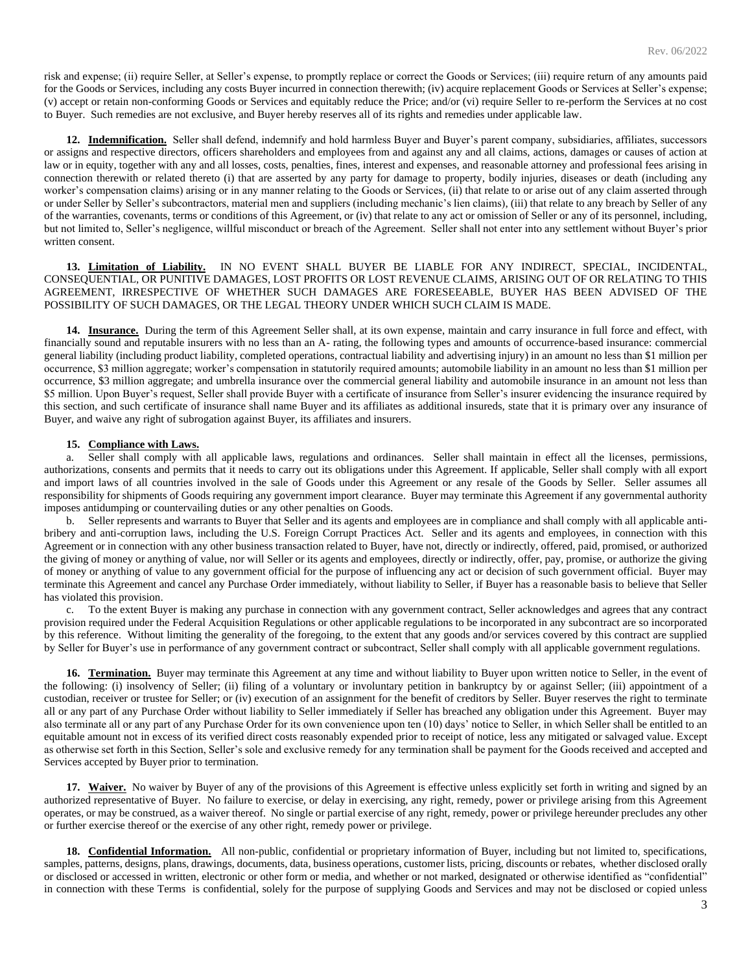risk and expense; (ii) require Seller, at Seller's expense, to promptly replace or correct the Goods or Services; (iii) require return of any amounts paid for the Goods or Services, including any costs Buyer incurred in connection therewith; (iv) acquire replacement Goods or Services at Seller's expense; (v) accept or retain non-conforming Goods or Services and equitably reduce the Price; and/or (vi) require Seller to re-perform the Services at no cost to Buyer. Such remedies are not exclusive, and Buyer hereby reserves all of its rights and remedies under applicable law.

**12. Indemnification.** Seller shall defend, indemnify and hold harmless Buyer and Buyer's parent company, subsidiaries, affiliates, successors or assigns and respective directors, officers shareholders and employees from and against any and all claims, actions, damages or causes of action at law or in equity, together with any and all losses, costs, penalties, fines, interest and expenses, and reasonable attorney and professional fees arising in connection therewith or related thereto (i) that are asserted by any party for damage to property, bodily injuries, diseases or death (including any worker's compensation claims) arising or in any manner relating to the Goods or Services, (ii) that relate to or arise out of any claim asserted through or under Seller by Seller's subcontractors, material men and suppliers (including mechanic's lien claims), (iii) that relate to any breach by Seller of any of the warranties, covenants, terms or conditions of this Agreement, or (iv) that relate to any act or omission of Seller or any of its personnel, including, but not limited to, Seller's negligence, willful misconduct or breach of the Agreement. Seller shall not enter into any settlement without Buyer's prior written consent.

**13. Limitation of Liability.** IN NO EVENT SHALL BUYER BE LIABLE FOR ANY INDIRECT, SPECIAL, INCIDENTAL, CONSEQUENTIAL, OR PUNITIVE DAMAGES, LOST PROFITS OR LOST REVENUE CLAIMS, ARISING OUT OF OR RELATING TO THIS AGREEMENT, IRRESPECTIVE OF WHETHER SUCH DAMAGES ARE FORESEEABLE, BUYER HAS BEEN ADVISED OF THE POSSIBILITY OF SUCH DAMAGES, OR THE LEGAL THEORY UNDER WHICH SUCH CLAIM IS MADE.

**14. Insurance.** During the term of this Agreement Seller shall, at its own expense, maintain and carry insurance in full force and effect, with financially sound and reputable insurers with no less than an A- rating, the following types and amounts of occurrence-based insurance: commercial general liability (including product liability, completed operations, contractual liability and advertising injury) in an amount no less than \$1 million per occurrence, \$3 million aggregate; worker's compensation in statutorily required amounts; automobile liability in an amount no less than \$1 million per occurrence, \$3 million aggregate; and umbrella insurance over the commercial general liability and automobile insurance in an amount not less than \$5 million. Upon Buyer's request, Seller shall provide Buyer with a certificate of insurance from Seller's insurer evidencing the insurance required by this section, and such certificate of insurance shall name Buyer and its affiliates as additional insureds, state that it is primary over any insurance of Buyer, and waive any right of subrogation against Buyer, its affiliates and insurers.

#### **15. Compliance with Laws.**

a. Seller shall comply with all applicable laws, regulations and ordinances. Seller shall maintain in effect all the licenses, permissions, authorizations, consents and permits that it needs to carry out its obligations under this Agreement. If applicable, Seller shall comply with all export and import laws of all countries involved in the sale of Goods under this Agreement or any resale of the Goods by Seller. Seller assumes all responsibility for shipments of Goods requiring any government import clearance. Buyer may terminate this Agreement if any governmental authority imposes antidumping or countervailing duties or any other penalties on Goods.

b. Seller represents and warrants to Buyer that Seller and its agents and employees are in compliance and shall comply with all applicable antibribery and anti-corruption laws, including the U.S. Foreign Corrupt Practices Act. Seller and its agents and employees, in connection with this Agreement or in connection with any other business transaction related to Buyer, have not, directly or indirectly, offered, paid, promised, or authorized the giving of money or anything of value, nor will Seller or its agents and employees, directly or indirectly, offer, pay, promise, or authorize the giving of money or anything of value to any government official for the purpose of influencing any act or decision of such government official. Buyer may terminate this Agreement and cancel any Purchase Order immediately, without liability to Seller, if Buyer has a reasonable basis to believe that Seller has violated this provision.

c. To the extent Buyer is making any purchase in connection with any government contract, Seller acknowledges and agrees that any contract provision required under the Federal Acquisition Regulations or other applicable regulations to be incorporated in any subcontract are so incorporated by this reference. Without limiting the generality of the foregoing, to the extent that any goods and/or services covered by this contract are supplied by Seller for Buyer's use in performance of any government contract or subcontract, Seller shall comply with all applicable government regulations.

**16. Termination.** Buyer may terminate this Agreement at any time and without liability to Buyer upon written notice to Seller, in the event of the following: (i) insolvency of Seller; (ii) filing of a voluntary or involuntary petition in bankruptcy by or against Seller; (iii) appointment of a custodian, receiver or trustee for Seller; or (iv) execution of an assignment for the benefit of creditors by Seller. Buyer reserves the right to terminate all or any part of any Purchase Order without liability to Seller immediately if Seller has breached any obligation under this Agreement. Buyer may also terminate all or any part of any Purchase Order for its own convenience upon ten (10) days' notice to Seller, in which Seller shall be entitled to an equitable amount not in excess of its verified direct costs reasonably expended prior to receipt of notice, less any mitigated or salvaged value. Except as otherwise set forth in this Section, Seller's sole and exclusive remedy for any termination shall be payment for the Goods received and accepted and Services accepted by Buyer prior to termination.

**17.** Waiver. No waiver by Buyer of any of the provisions of this Agreement is effective unless explicitly set forth in writing and signed by an authorized representative of Buyer. No failure to exercise, or delay in exercising, any right, remedy, power or privilege arising from this Agreement operates, or may be construed, as a waiver thereof. No single or partial exercise of any right, remedy, power or privilege hereunder precludes any other or further exercise thereof or the exercise of any other right, remedy power or privilege.

**18. Confidential Information.** All non-public, confidential or proprietary information of Buyer, including but not limited to, specifications, samples, patterns, designs, plans, drawings, documents, data, business operations, customer lists, pricing, discounts or rebates, whether disclosed orally or disclosed or accessed in written, electronic or other form or media, and whether or not marked, designated or otherwise identified as "confidential" in connection with these Terms is confidential, solely for the purpose of supplying Goods and Services and may not be disclosed or copied unless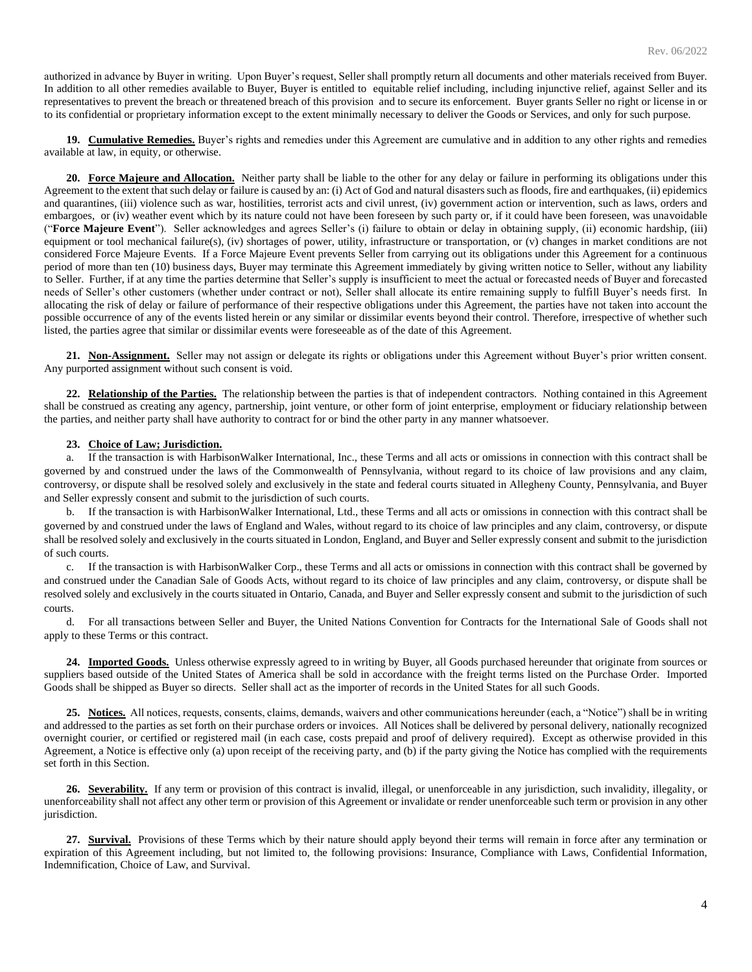authorized in advance by Buyer in writing. Upon Buyer's request, Seller shall promptly return all documents and other materials received from Buyer. In addition to all other remedies available to Buyer, Buyer is entitled to equitable relief including, including injunctive relief, against Seller and its representatives to prevent the breach or threatened breach of this provision and to secure its enforcement. Buyer grants Seller no right or license in or to its confidential or proprietary information except to the extent minimally necessary to deliver the Goods or Services, and only for such purpose.

**19. Cumulative Remedies.** Buyer's rights and remedies under this Agreement are cumulative and in addition to any other rights and remedies available at law, in equity, or otherwise.

**20. Force Majeure and Allocation.** Neither party shall be liable to the other for any delay or failure in performing its obligations under this Agreement to the extent that such delay or failure is caused by an: (i) Act of God and natural disasters such as floods, fire and earthquakes, (ii) epidemics and quarantines, (iii) violence such as war, hostilities, terrorist acts and civil unrest, (iv) government action or intervention, such as laws, orders and embargoes, or (iv) weather event which by its nature could not have been foreseen by such party or, if it could have been foreseen, was unavoidable ("**Force Majeure Event**"). Seller acknowledges and agrees Seller's (i) failure to obtain or delay in obtaining supply, (ii) economic hardship, (iii) equipment or tool mechanical failure(s), (iv) shortages of power, utility, infrastructure or transportation, or (v) changes in market conditions are not considered Force Majeure Events. If a Force Majeure Event prevents Seller from carrying out its obligations under this Agreement for a continuous period of more than ten (10) business days, Buyer may terminate this Agreement immediately by giving written notice to Seller, without any liability to Seller. Further, if at any time the parties determine that Seller's supply is insufficient to meet the actual or forecasted needs of Buyer and forecasted needs of Seller's other customers (whether under contract or not), Seller shall allocate its entire remaining supply to fulfill Buyer's needs first. In allocating the risk of delay or failure of performance of their respective obligations under this Agreement, the parties have not taken into account the possible occurrence of any of the events listed herein or any similar or dissimilar events beyond their control. Therefore, irrespective of whether such listed, the parties agree that similar or dissimilar events were foreseeable as of the date of this Agreement.

**21. Non-Assignment.** Seller may not assign or delegate its rights or obligations under this Agreement without Buyer's prior written consent. Any purported assignment without such consent is void.

**22. Relationship of the Parties.** The relationship between the parties is that of independent contractors. Nothing contained in this Agreement shall be construed as creating any agency, partnership, joint venture, or other form of joint enterprise, employment or fiduciary relationship between the parties, and neither party shall have authority to contract for or bind the other party in any manner whatsoever.

### **23. Choice of Law; Jurisdiction.**

a. If the transaction is with HarbisonWalker International, Inc., these Terms and all acts or omissions in connection with this contract shall be governed by and construed under the laws of the Commonwealth of Pennsylvania, without regard to its choice of law provisions and any claim, controversy, or dispute shall be resolved solely and exclusively in the state and federal courts situated in Allegheny County, Pennsylvania, and Buyer and Seller expressly consent and submit to the jurisdiction of such courts.

b. If the transaction is with HarbisonWalker International, Ltd., these Terms and all acts or omissions in connection with this contract shall be governed by and construed under the laws of England and Wales, without regard to its choice of law principles and any claim, controversy, or dispute shall be resolved solely and exclusively in the courts situated in London, England, and Buyer and Seller expressly consent and submit to the jurisdiction of such courts.

If the transaction is with HarbisonWalker Corp., these Terms and all acts or omissions in connection with this contract shall be governed by and construed under the Canadian Sale of Goods Acts, without regard to its choice of law principles and any claim, controversy, or dispute shall be resolved solely and exclusively in the courts situated in Ontario, Canada, and Buyer and Seller expressly consent and submit to the jurisdiction of such courts.

d. For all transactions between Seller and Buyer, the United Nations Convention for Contracts for the International Sale of Goods shall not apply to these Terms or this contract.

**24. Imported Goods.** Unless otherwise expressly agreed to in writing by Buyer, all Goods purchased hereunder that originate from sources or suppliers based outside of the United States of America shall be sold in accordance with the freight terms listed on the Purchase Order. Imported Goods shall be shipped as Buyer so directs. Seller shall act as the importer of records in the United States for all such Goods.

**25. Notices.** All notices, requests, consents, claims, demands, waivers and other communications hereunder (each, a "Notice") shall be in writing and addressed to the parties as set forth on their purchase orders or invoices. All Notices shall be delivered by personal delivery, nationally recognized overnight courier, or certified or registered mail (in each case, costs prepaid and proof of delivery required). Except as otherwise provided in this Agreement, a Notice is effective only (a) upon receipt of the receiving party, and (b) if the party giving the Notice has complied with the requirements set forth in this Section.

26. **Severability.** If any term or provision of this contract is invalid, illegal, or unenforceable in any jurisdiction, such invalidity, illegality, or unenforceability shall not affect any other term or provision of this Agreement or invalidate or render unenforceable such term or provision in any other jurisdiction.

27. **Survival.** Provisions of these Terms which by their nature should apply beyond their terms will remain in force after any termination or expiration of this Agreement including, but not limited to, the following provisions: Insurance, Compliance with Laws, Confidential Information, Indemnification, Choice of Law, and Survival.